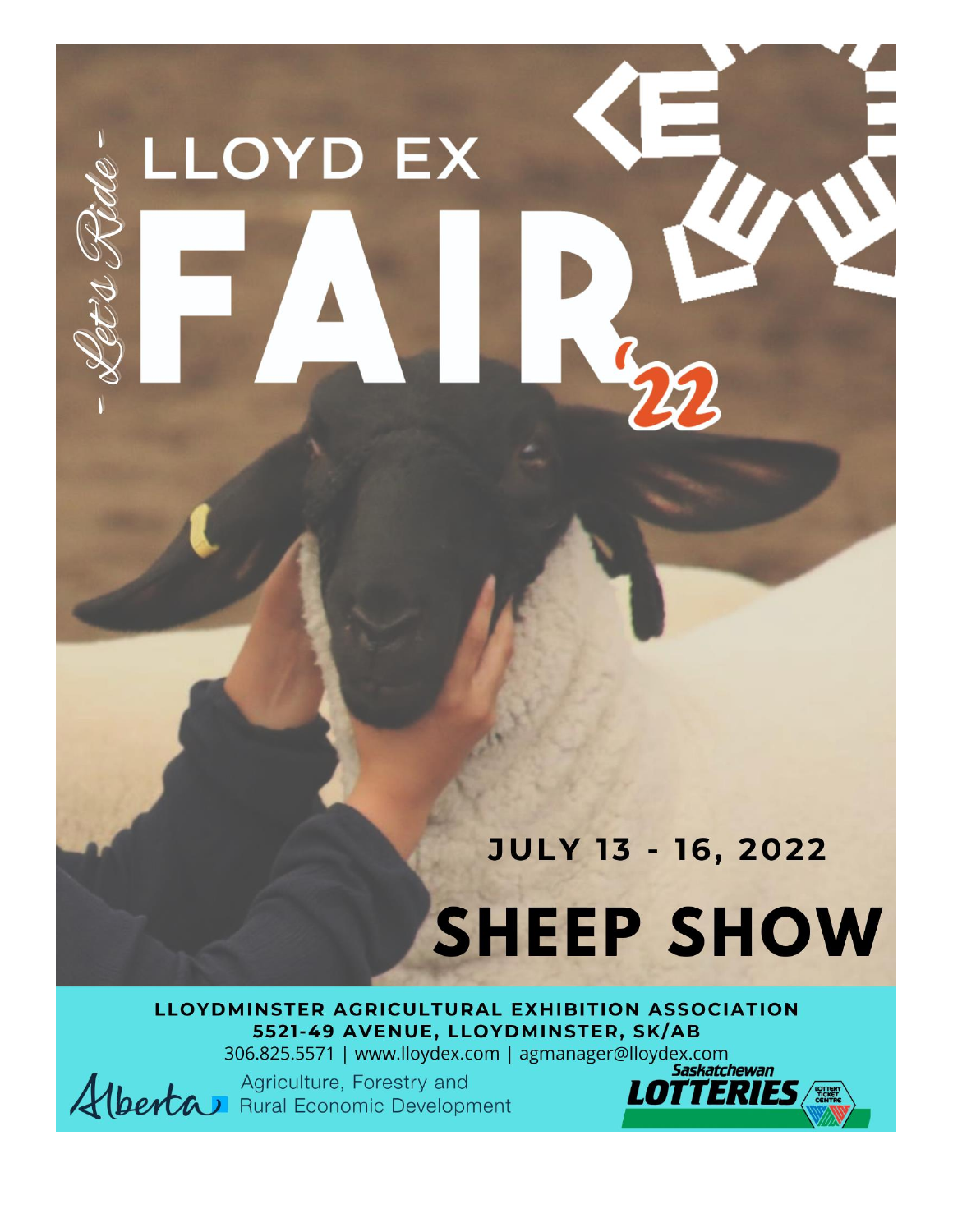# LLOYD EX

# **JULY 13 - 16, 2022**

# **SHEEP SHOW**

LLOYDMINSTER AGRICULTURAL EXHIBITION ASSOCIATION 5521-49 AVENUE, LLOYDMINSTER, SK/AB

306.825.5571 | www.lloydex.com | agmanager@lloydex.com

Alberta Agriculture, Forestry and

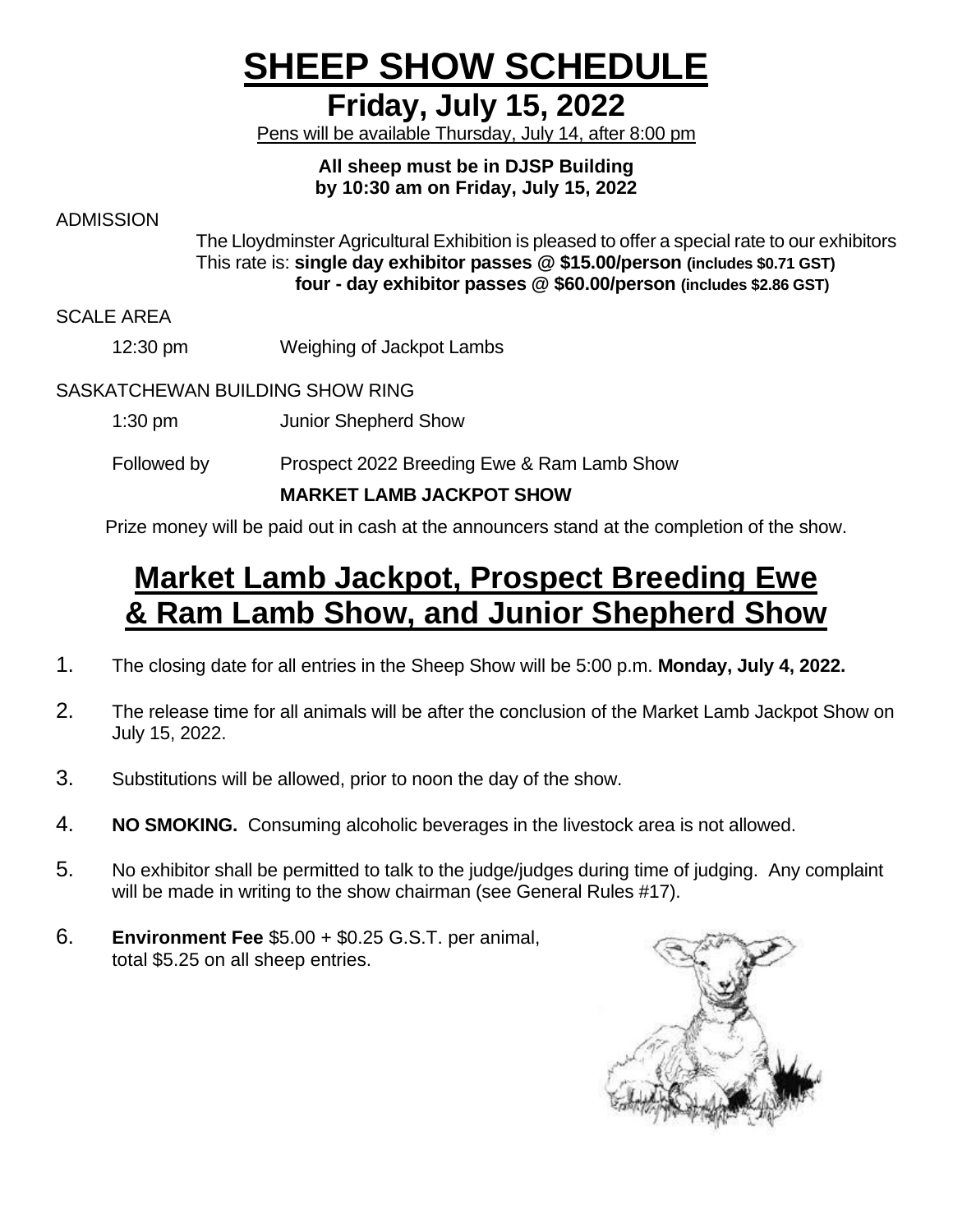# **SHEEP SHOW SCHEDULE**

## **Friday, July 15, 2022**

Pens will be available Thursday, July 14, after 8:00 pm

#### **All sheep must be in DJSP Building by 10:30 am on Friday, July 15, 2022**

ADMISSION

The Lloydminster Agricultural Exhibition is pleased to offer a special rate to our exhibitors This rate is: **single day exhibitor passes @ \$15.00/person (includes \$0.71 GST) four - day exhibitor passes @ \$60.00/person (includes \$2.86 GST)**

SCALE AREA

12:30 pm Weighing of Jackpot Lambs

#### SASKATCHEWAN BUILDING SHOW RING

- 1:30 pm Junior Shepherd Show
- Followed by Prospect 2022 Breeding Ewe & Ram Lamb Show

#### **MARKET LAMB JACKPOT SHOW**

Prize money will be paid out in cash at the announcers stand at the completion of the show.

# **Market Lamb Jackpot, Prospect Breeding Ewe & Ram Lamb Show, and Junior Shepherd Show**

- 1. The closing date for all entries in the Sheep Show will be 5:00 p.m. **Monday, July 4, 2022.**
- 2. The release time for all animals will be after the conclusion of the Market Lamb Jackpot Show on July 15, 2022.
- 3. Substitutions will be allowed, prior to noon the day of the show.
- 4. **NO SMOKING.** Consuming alcoholic beverages in the livestock area is not allowed.
- 5. No exhibitor shall be permitted to talk to the judge/judges during time of judging. Any complaint will be made in writing to the show chairman (see General Rules #17).
- 6. **Environment Fee** \$5.00 + \$0.25 G.S.T. per animal, total \$5.25 on all sheep entries.

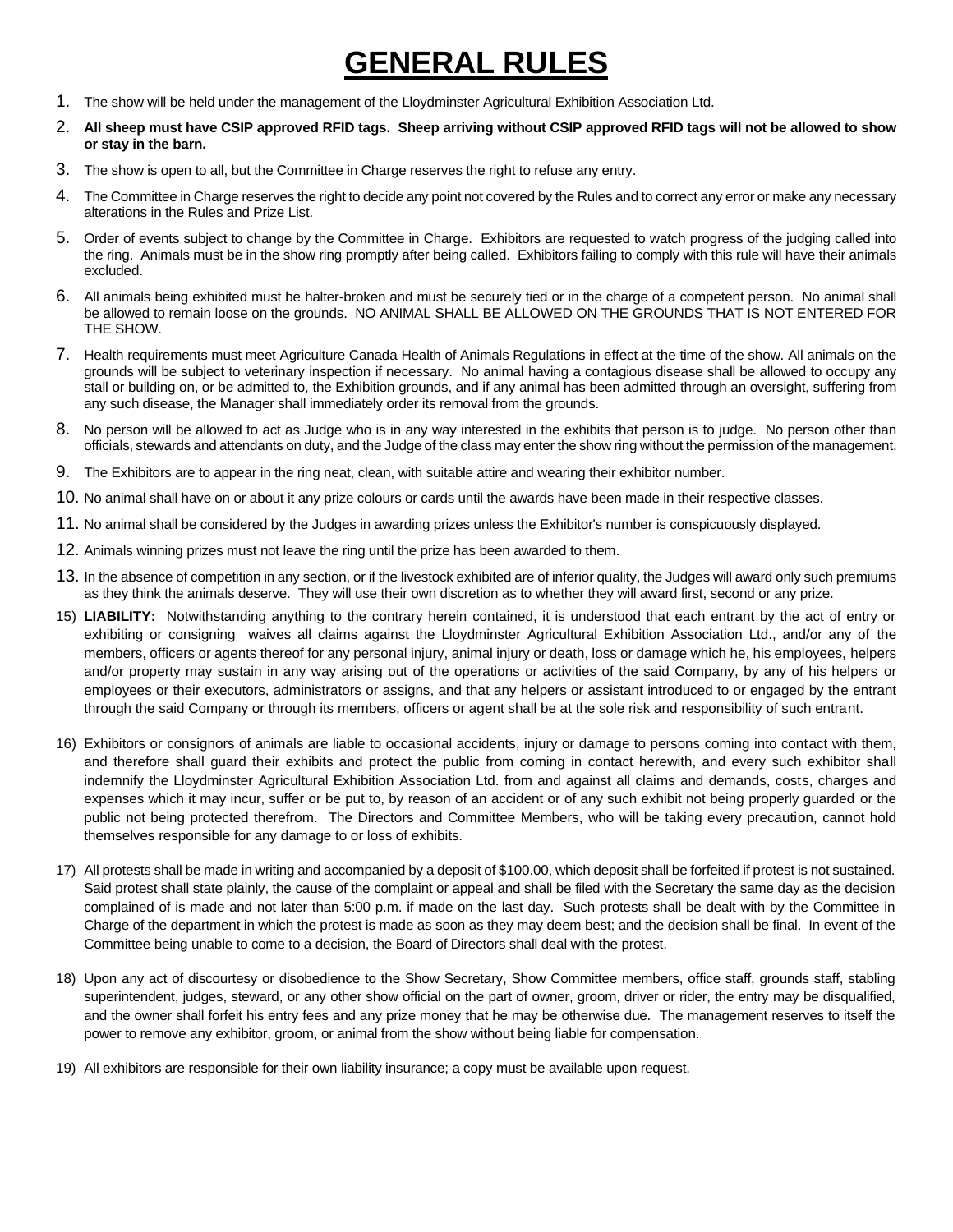# **GENERAL RULES**

- 1. The show will be held under the management of the Lloydminster Agricultural Exhibition Association Ltd.
- 2. **All sheep must have CSIP approved RFID tags. Sheep arriving without CSIP approved RFID tags will not be allowed to show or stay in the barn.**
- 3. The show is open to all, but the Committee in Charge reserves the right to refuse any entry.
- 4. The Committee in Charge reserves the right to decide any point not covered by the Rules and to correct any error or make any necessary alterations in the Rules and Prize List.
- 5. Order of events subject to change by the Committee in Charge. Exhibitors are requested to watch progress of the judging called into the ring. Animals must be in the show ring promptly after being called. Exhibitors failing to comply with this rule will have their animals excluded.
- 6. All animals being exhibited must be halter-broken and must be securely tied or in the charge of a competent person. No animal shall be allowed to remain loose on the grounds. NO ANIMAL SHALL BE ALLOWED ON THE GROUNDS THAT IS NOT ENTERED FOR THE SHOW.
- 7. Health requirements must meet Agriculture Canada Health of Animals Regulations in effect at the time of the show. All animals on the grounds will be subject to veterinary inspection if necessary. No animal having a contagious disease shall be allowed to occupy any stall or building on, or be admitted to, the Exhibition grounds, and if any animal has been admitted through an oversight, suffering from any such disease, the Manager shall immediately order its removal from the grounds.
- 8. No person will be allowed to act as Judge who is in any way interested in the exhibits that person is to judge. No person other than officials, stewards and attendants on duty, and the Judge of the class may enter the show ring without the permission of the management.
- 9. The Exhibitors are to appear in the ring neat, clean, with suitable attire and wearing their exhibitor number.
- 10. No animal shall have on or about it any prize colours or cards until the awards have been made in their respective classes.
- 11. No animal shall be considered by the Judges in awarding prizes unless the Exhibitor's number is conspicuously displayed.
- 12. Animals winning prizes must not leave the ring until the prize has been awarded to them.
- 13. In the absence of competition in any section, or if the livestock exhibited are of inferior quality, the Judges will award only such premiums as they think the animals deserve. They will use their own discretion as to whether they will award first, second or any prize.
- 15) **LIABILITY:** Notwithstanding anything to the contrary herein contained, it is understood that each entrant by the act of entry or exhibiting or consigning waives all claims against the Lloydminster Agricultural Exhibition Association Ltd., and/or any of the members, officers or agents thereof for any personal injury, animal injury or death, loss or damage which he, his employees, helpers and/or property may sustain in any way arising out of the operations or activities of the said Company, by any of his helpers or employees or their executors, administrators or assigns, and that any helpers or assistant introduced to or engaged by the entrant through the said Company or through its members, officers or agent shall be at the sole risk and responsibility of such entrant.
- 16) Exhibitors or consignors of animals are liable to occasional accidents, injury or damage to persons coming into contact with them, and therefore shall guard their exhibits and protect the public from coming in contact herewith, and every such exhibitor shall indemnify the Lloydminster Agricultural Exhibition Association Ltd. from and against all claims and demands, costs, charges and expenses which it may incur, suffer or be put to, by reason of an accident or of any such exhibit not being properly guarded or the public not being protected therefrom. The Directors and Committee Members, who will be taking every precaution, cannot hold themselves responsible for any damage to or loss of exhibits.
- 17) All protests shall be made in writing and accompanied by a deposit of \$100.00, which deposit shall be forfeited if protest is not sustained. Said protest shall state plainly, the cause of the complaint or appeal and shall be filed with the Secretary the same day as the decision complained of is made and not later than 5:00 p.m. if made on the last day. Such protests shall be dealt with by the Committee in Charge of the department in which the protest is made as soon as they may deem best; and the decision shall be final. In event of the Committee being unable to come to a decision, the Board of Directors shall deal with the protest.
- 18) Upon any act of discourtesy or disobedience to the Show Secretary, Show Committee members, office staff, grounds staff, stabling superintendent, judges, steward, or any other show official on the part of owner, groom, driver or rider, the entry may be disqualified, and the owner shall forfeit his entry fees and any prize money that he may be otherwise due. The management reserves to itself the power to remove any exhibitor, groom, or animal from the show without being liable for compensation.
- 19) All exhibitors are responsible for their own liability insurance; a copy must be available upon request.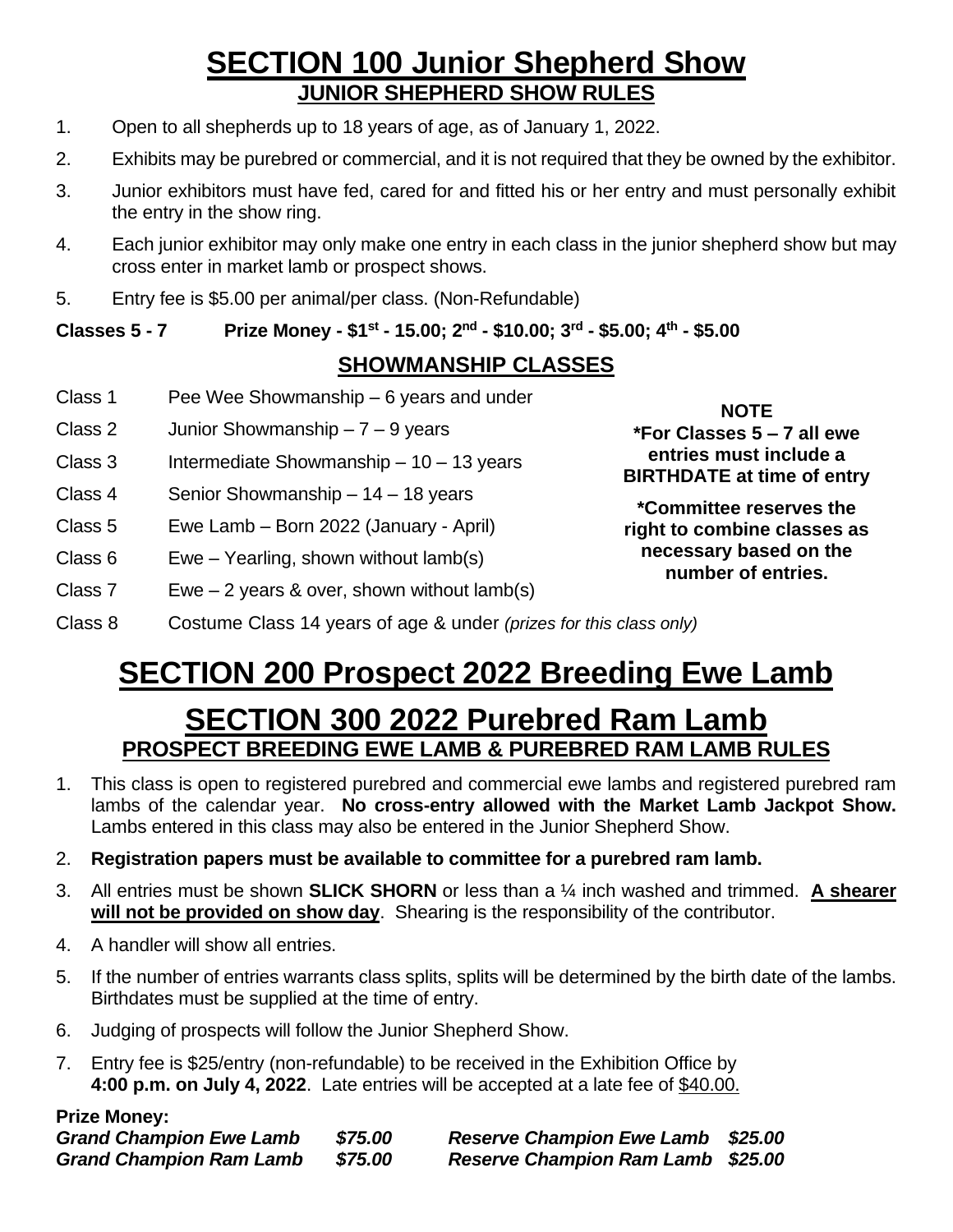## **SECTION 100 Junior Shepherd Show JUNIOR SHEPHERD SHOW RULES**

- 1. Open to all shepherds up to 18 years of age, as of January 1, 2022.
- 2. Exhibits may be purebred or commercial, and it is not required that they be owned by the exhibitor.
- 3. Junior exhibitors must have fed, cared for and fitted his or her entry and must personally exhibit the entry in the show ring.
- 4. Each junior exhibitor may only make one entry in each class in the junior shepherd show but may cross enter in market lamb or prospect shows.
- 5. Entry fee is \$5.00 per animal/per class. (Non-Refundable)

**Classes 5 - 7 Prize Money - \$1st - 15.00; 2nd - \$10.00; 3rd - \$5.00; 4th - \$5.00**

#### **SHOWMANSHIP CLASSES**

- Class 1 Pee Wee Showmanship 6 years and under
- Class 2 Junior Showmanship  $-7 9$  years
- Class 3 Intermediate Showmanship  $-10 13$  years
- Class 4 Senior Showmanship 14 18 years
- Class 5 Ewe Lamb Born 2022 (January April)
- Class 6 Ewe Yearling, shown without lamb(s)
- Class 7 Ewe 2 years & over, shown without  $lamb(s)$

**NOTE \*For Classes 5 – 7 all ewe entries must include a BIRTHDATE at time of entry**

**\*Committee reserves the right to combine classes as necessary based on the number of entries.**

Class 8 Costume Class 14 years of age & under *(prizes for this class only)*

# **SECTION 200 Prospect 2022 Breeding Ewe Lamb**

### **SECTION 300 2022 Purebred Ram Lamb PROSPECT BREEDING EWE LAMB & PUREBRED RAM LAMB RULES**

- 1. This class is open to registered purebred and commercial ewe lambs and registered purebred ram lambs of the calendar year. **No cross-entry allowed with the Market Lamb Jackpot Show.** Lambs entered in this class may also be entered in the Junior Shepherd Show.
- 2. **Registration papers must be available to committee for a purebred ram lamb.**
- 3. All entries must be shown **SLICK SHORN** or less than a ¼ inch washed and trimmed. **A shearer will not be provided on show day**. Shearing is the responsibility of the contributor.
- 4. A handler will show all entries.
- 5. If the number of entries warrants class splits, splits will be determined by the birth date of the lambs. Birthdates must be supplied at the time of entry.
- 6. Judging of prospects will follow the Junior Shepherd Show.
- 7. Entry fee is \$25/entry (non-refundable) to be received in the Exhibition Office by **4:00 p.m. on July 4, 2022**. Late entries will be accepted at a late fee of \$40.00.

#### **Prize Money:**

| <b>Grand Champion Ewe Lamb</b> | \$75.00               | <b>Reserve Champion Ewe Lamb \$25.00</b> |  |
|--------------------------------|-----------------------|------------------------------------------|--|
| <b>Grand Champion Ram Lamb</b> | <i><b>\$75.00</b></i> | <b>Reserve Champion Ram Lamb \$25.00</b> |  |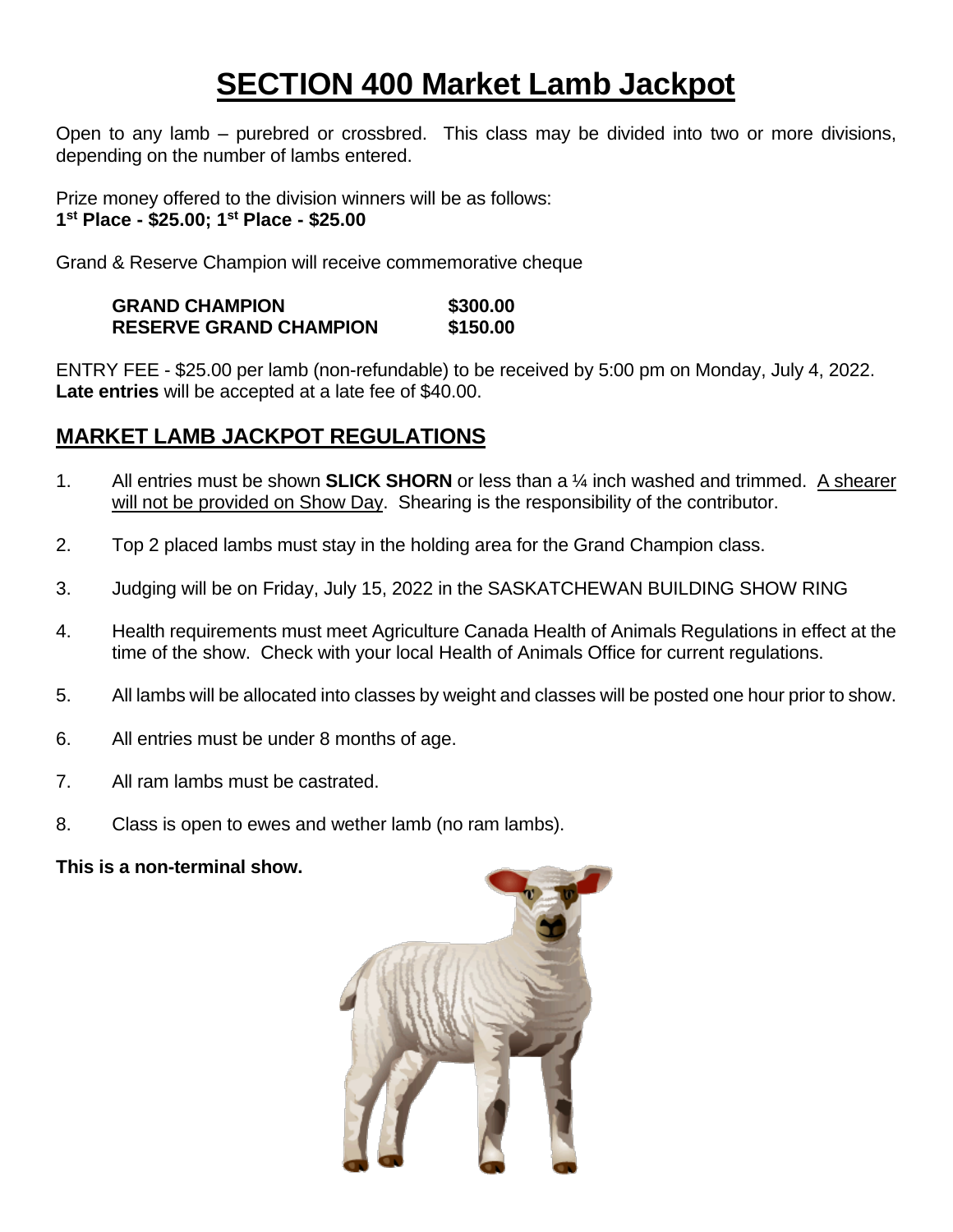# **SECTION 400 Market Lamb Jackpot**

Open to any lamb – purebred or crossbred. This class may be divided into two or more divisions, depending on the number of lambs entered.

Prize money offered to the division winners will be as follows: **1 st Place - \$25.00; 1 st Place - \$25.00**

Grand & Reserve Champion will receive commemorative cheque

**GRAND CHAMPION \$300.00 RESERVE GRAND CHAMPION \$150.00**

ENTRY FEE - \$25.00 per lamb (non-refundable) to be received by 5:00 pm on Monday, July 4, 2022. **Late entries** will be accepted at a late fee of \$40.00.

#### **MARKET LAMB JACKPOT REGULATIONS**

- 1. All entries must be shown **SLICK SHORN** or less than a ¼ inch washed and trimmed. A shearer will not be provided on Show Day. Shearing is the responsibility of the contributor.
- 2. Top 2 placed lambs must stay in the holding area for the Grand Champion class.
- 3. Judging will be on Friday, July 15, 2022 in the SASKATCHEWAN BUILDING SHOW RING
- 4. Health requirements must meet Agriculture Canada Health of Animals Regulations in effect at the time of the show. Check with your local Health of Animals Office for current regulations.
- 5. All lambs will be allocated into classes by weight and classes will be posted one hour prior to show.
- 6. All entries must be under 8 months of age.
- 7. All ram lambs must be castrated.
- 8. Class is open to ewes and wether lamb (no ram lambs).

**This is a non-terminal show.**